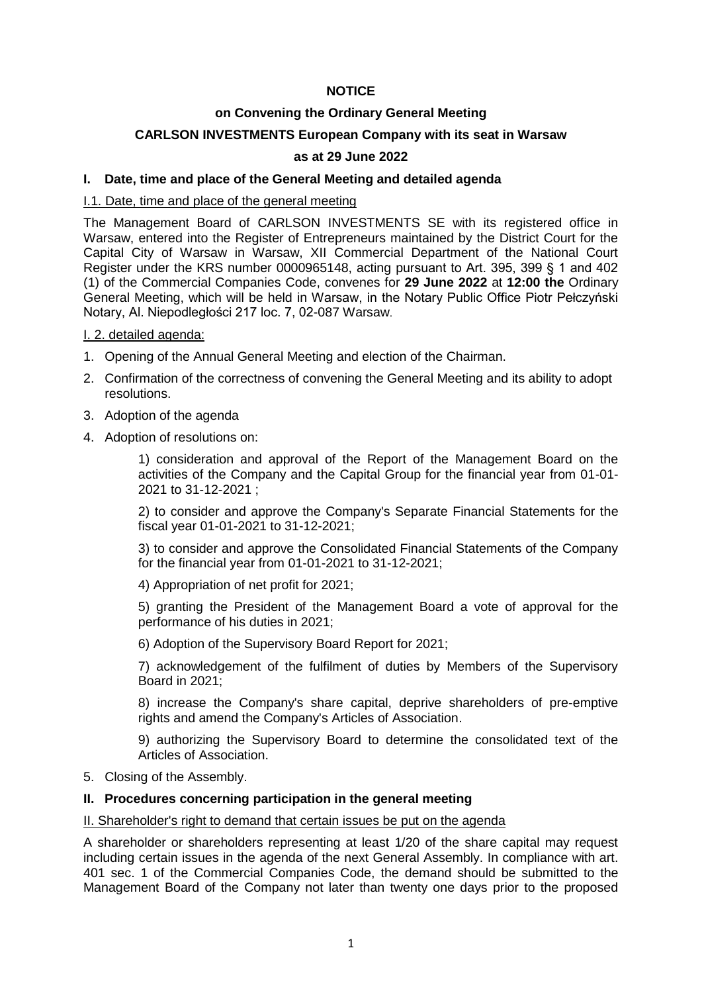# **NOTICE**

## **on Convening the Ordinary General Meeting**

# **CARLSON INVESTMENTS European Company with its seat in Warsaw**

### **as at 29 June 2022**

### **I. Date, time and place of the General Meeting and detailed agenda**

### I.1. Date, time and place of the general meeting

The Management Board of CARLSON INVESTMENTS SE with its registered office in Warsaw, entered into the Register of Entrepreneurs maintained by the District Court for the Capital City of Warsaw in Warsaw, XII Commercial Department of the National Court Register under the KRS number 0000965148, acting pursuant to Art. 395, 399 § 1 and 402 (1) of the Commercial Companies Code, convenes for **29 June 2022** at **12:00 the** Ordinary General Meeting, which will be held in Warsaw, in the Notary Public Office Piotr Pełczyński Notary, Al. Niepodległości 217 loc. 7, 02-087 Warsaw.

I. 2. detailed agenda:

- 1. Opening of the Annual General Meeting and election of the Chairman.
- 2. Confirmation of the correctness of convening the General Meeting and its ability to adopt resolutions.
- 3. Adoption of the agenda
- 4. Adoption of resolutions on:

1) consideration and approval of the Report of the Management Board on the activities of the Company and the Capital Group for the financial year from 01-01- 2021 to 31-12-2021 ;

2) to consider and approve the Company's Separate Financial Statements for the fiscal year 01-01-2021 to 31-12-2021;

3) to consider and approve the Consolidated Financial Statements of the Company for the financial year from 01-01-2021 to 31-12-2021;

4) Appropriation of net profit for 2021;

5) granting the President of the Management Board a vote of approval for the performance of his duties in 2021;

6) Adoption of the Supervisory Board Report for 2021;

7) acknowledgement of the fulfilment of duties by Members of the Supervisory Board in 2021;

8) increase the Company's share capital, deprive shareholders of pre-emptive rights and amend the Company's Articles of Association.

9) authorizing the Supervisory Board to determine the consolidated text of the Articles of Association.

#### 5. Closing of the Assembly.

#### **II. Procedures concerning participation in the general meeting**

#### II. Shareholder's right to demand that certain issues be put on the agenda

A shareholder or shareholders representing at least 1/20 of the share capital may request including certain issues in the agenda of the next General Assembly. In compliance with art. 401 sec. 1 of the Commercial Companies Code, the demand should be submitted to the Management Board of the Company not later than twenty one days prior to the proposed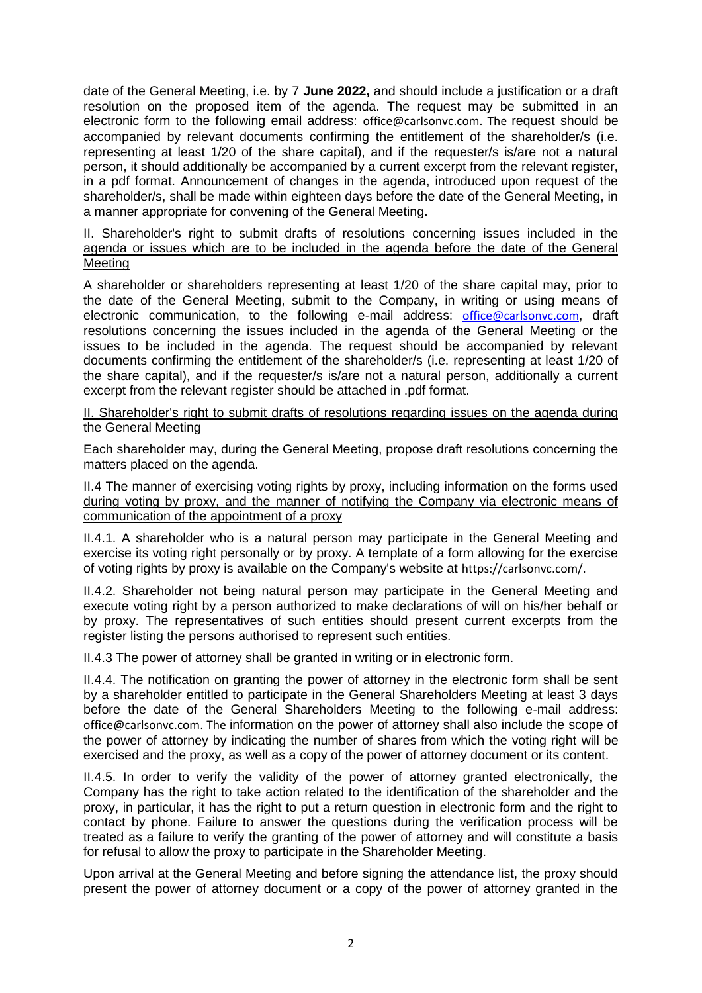date of the General Meeting, i.e. by 7 **June 2022,** and should include a justification or a draft resolution on the proposed item of the agenda. The request may be submitted in an electronic form to the following email address: office@carlsonvc.com. The request should be accompanied by relevant documents confirming the entitlement of the shareholder/s (i.e. representing at least 1/20 of the share capital), and if the requester/s is/are not a natural person, it should additionally be accompanied by a current excerpt from the relevant register, in a pdf format. Announcement of changes in the agenda, introduced upon request of the shareholder/s, shall be made within eighteen days before the date of the General Meeting, in a manner appropriate for convening of the General Meeting.

#### II. Shareholder's right to submit drafts of resolutions concerning issues included in the agenda or issues which are to be included in the agenda before the date of the General Meeting

A shareholder or shareholders representing at least 1/20 of the share capital may, prior to the date of the General Meeting, submit to the Company, in writing or using means of electronic communication, to the following e-mail address: [office@carlsonvc.com](mailto:office@carlsonvc.com), draft resolutions concerning the issues included in the agenda of the General Meeting or the issues to be included in the agenda. The request should be accompanied by relevant documents confirming the entitlement of the shareholder/s (i.e. representing at least 1/20 of the share capital), and if the requester/s is/are not a natural person, additionally a current excerpt from the relevant register should be attached in .pdf format.

II. Shareholder's right to submit drafts of resolutions regarding issues on the agenda during the General Meeting

Each shareholder may, during the General Meeting, propose draft resolutions concerning the matters placed on the agenda.

II.4 The manner of exercising voting rights by proxy, including information on the forms used during voting by proxy, and the manner of notifying the Company via electronic means of communication of the appointment of a proxy

II.4.1. A shareholder who is a natural person may participate in the General Meeting and exercise its voting right personally or by proxy. A template of a form allowing for the exercise of voting rights by proxy is available on the Company's website at https://carlsonvc.com/.

II.4.2. Shareholder not being natural person may participate in the General Meeting and execute voting right by a person authorized to make declarations of will on his/her behalf or by proxy. The representatives of such entities should present current excerpts from the register listing the persons authorised to represent such entities.

II.4.3 The power of attorney shall be granted in writing or in electronic form.

II.4.4. The notification on granting the power of attorney in the electronic form shall be sent by a shareholder entitled to participate in the General Shareholders Meeting at least 3 days before the date of the General Shareholders Meeting to the following e-mail address: office@carlsonvc.com. The information on the power of attorney shall also include the scope of the power of attorney by indicating the number of shares from which the voting right will be exercised and the proxy, as well as a copy of the power of attorney document or its content.

II.4.5. In order to verify the validity of the power of attorney granted electronically, the Company has the right to take action related to the identification of the shareholder and the proxy, in particular, it has the right to put a return question in electronic form and the right to contact by phone. Failure to answer the questions during the verification process will be treated as a failure to verify the granting of the power of attorney and will constitute a basis for refusal to allow the proxy to participate in the Shareholder Meeting.

Upon arrival at the General Meeting and before signing the attendance list, the proxy should present the power of attorney document or a copy of the power of attorney granted in the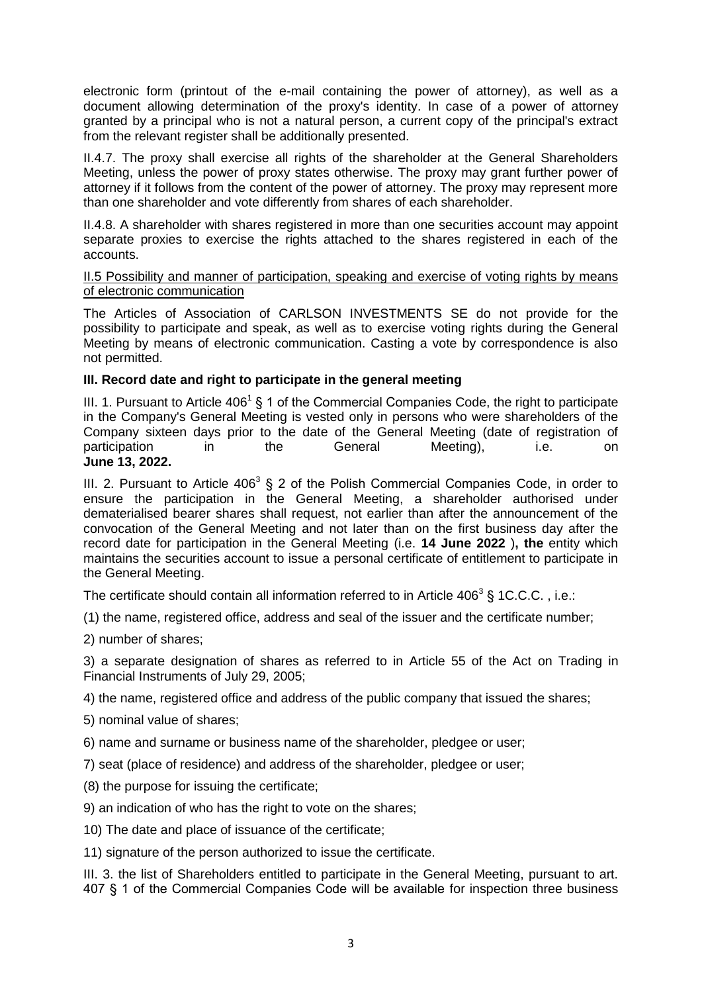electronic form (printout of the e-mail containing the power of attorney), as well as a document allowing determination of the proxy's identity. In case of a power of attorney granted by a principal who is not a natural person, a current copy of the principal's extract from the relevant register shall be additionally presented.

II.4.7. The proxy shall exercise all rights of the shareholder at the General Shareholders Meeting, unless the power of proxy states otherwise. The proxy may grant further power of attorney if it follows from the content of the power of attorney. The proxy may represent more than one shareholder and vote differently from shares of each shareholder.

II.4.8. A shareholder with shares registered in more than one securities account may appoint separate proxies to exercise the rights attached to the shares registered in each of the accounts.

#### II.5 Possibility and manner of participation, speaking and exercise of voting rights by means of electronic communication

The Articles of Association of CARLSON INVESTMENTS SE do not provide for the possibility to participate and speak, as well as to exercise voting rights during the General Meeting by means of electronic communication. Casting a vote by correspondence is also not permitted.

## **III. Record date and right to participate in the general meeting**

III. 1. Pursuant to Article 406<sup>1</sup> § 1 of the Commercial Companies Code, the right to participate in the Company's General Meeting is vested only in persons who were shareholders of the Company sixteen days prior to the date of the General Meeting (date of registration of participation in the General Meeting), i.e. on **June 13, 2022.** 

III. 2. Pursuant to Article 406<sup>3</sup> § 2 of the Polish Commercial Companies Code, in order to ensure the participation in the General Meeting, a shareholder authorised under dematerialised bearer shares shall request, not earlier than after the announcement of the convocation of the General Meeting and not later than on the first business day after the record date for participation in the General Meeting (i.e. **14 June 2022** )**, the** entity which maintains the securities account to issue a personal certificate of entitlement to participate in the General Meeting.

The certificate should contain all information referred to in Article 406<sup>3</sup> § 1C.C.C., i.e.:

(1) the name, registered office, address and seal of the issuer and the certificate number;

2) number of shares;

3) a separate designation of shares as referred to in Article 55 of the Act on Trading in Financial Instruments of July 29, 2005;

4) the name, registered office and address of the public company that issued the shares;

5) nominal value of shares;

6) name and surname or business name of the shareholder, pledgee or user;

7) seat (place of residence) and address of the shareholder, pledgee or user;

(8) the purpose for issuing the certificate;

9) an indication of who has the right to vote on the shares;

10) The date and place of issuance of the certificate;

11) signature of the person authorized to issue the certificate.

III. 3. the list of Shareholders entitled to participate in the General Meeting, pursuant to art. 407 § 1 of the Commercial Companies Code will be available for inspection three business